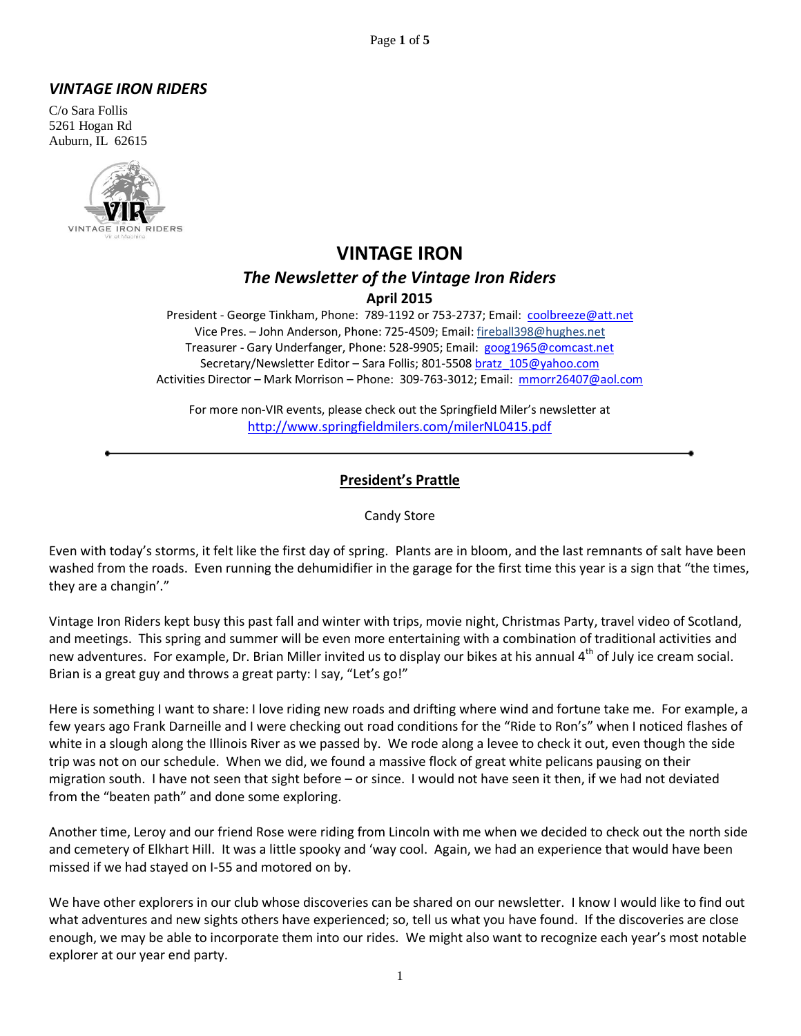#### *VINTAGE IRON RIDERS*

C/o Sara Follis 5261 Hogan Rd Auburn, IL 62615



# **VINTAGE IRON** *The Newsletter of the Vintage Iron Riders* **April 2015**

President - George Tinkham, Phone: 789-1192 or 753-2737; Email: [coolbreeze@att.net](mailto:coolbreeze@att.net) Vice Pres. – John Anderson, Phone: 725-4509; Email: fireball398@hughes.net Treasurer - Gary Underfanger, Phone: 528-9905; Email: [goog1965@comcast.net](mailto:goog1965@comcast.net) Secretary/Newsletter Editor - Sara Follis; 801-5508 bratz 105@yahoo.com Activities Director – Mark Morrison – Phone: 309-763-3012; Email: [mmorr26407@aol.com](mailto:mmorr26407@aol.com)

For more non-VIR events, please check out the Springfield Miler's newsletter at <http://www.springfieldmilers.com/milerNL0415.pdf>

#### **President's Prattle**

#### Candy Store

Even with today's storms, it felt like the first day of spring. Plants are in bloom, and the last remnants of salt have been washed from the roads. Even running the dehumidifier in the garage for the first time this year is a sign that "the times, they are a changin'."

Vintage Iron Riders kept busy this past fall and winter with trips, movie night, Christmas Party, travel video of Scotland, and meetings. This spring and summer will be even more entertaining with a combination of traditional activities and new adventures. For example, Dr. Brian Miller invited us to display our bikes at his annual 4<sup>th</sup> of July ice cream social. Brian is a great guy and throws a great party: I say, "Let's go!"

Here is something I want to share: I love riding new roads and drifting where wind and fortune take me. For example, a few years ago Frank Darneille and I were checking out road conditions for the "Ride to Ron's" when I noticed flashes of white in a slough along the Illinois River as we passed by. We rode along a levee to check it out, even though the side trip was not on our schedule. When we did, we found a massive flock of great white pelicans pausing on their migration south. I have not seen that sight before – or since. I would not have seen it then, if we had not deviated from the "beaten path" and done some exploring.

Another time, Leroy and our friend Rose were riding from Lincoln with me when we decided to check out the north side and cemetery of Elkhart Hill. It was a little spooky and 'way cool. Again, we had an experience that would have been missed if we had stayed on I-55 and motored on by.

We have other explorers in our club whose discoveries can be shared on our newsletter. I know I would like to find out what adventures and new sights others have experienced; so, tell us what you have found. If the discoveries are close enough, we may be able to incorporate them into our rides. We might also want to recognize each year's most notable explorer at our year end party.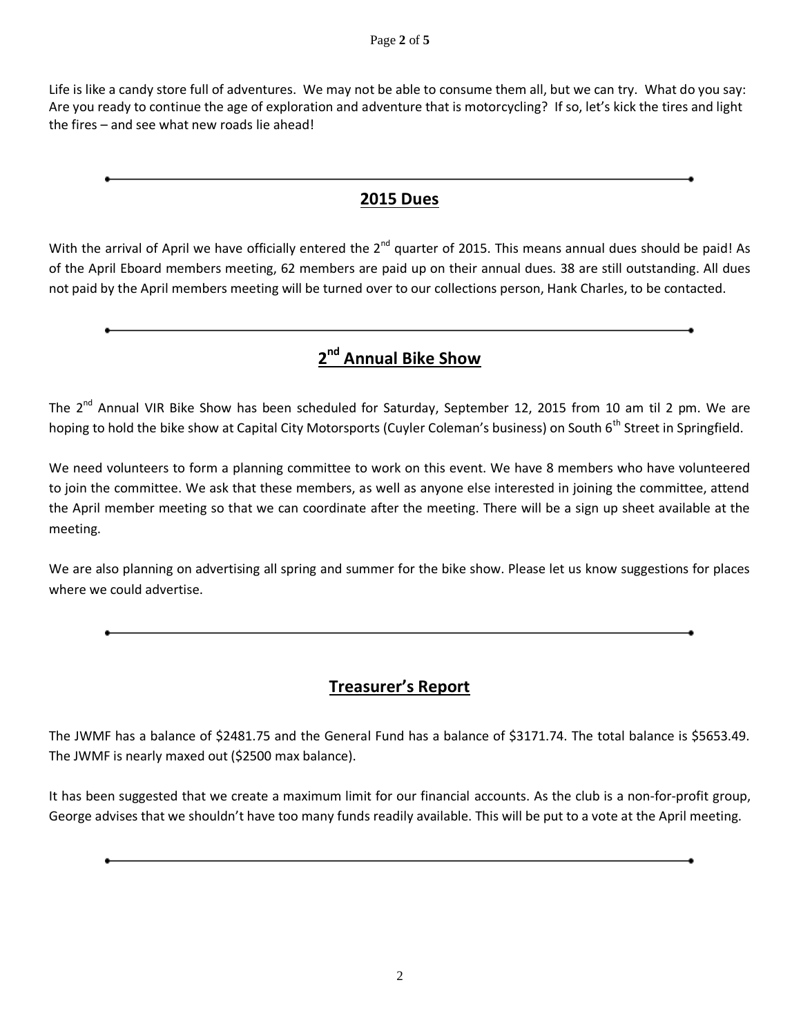Life is like a candy store full of adventures. We may not be able to consume them all, but we can try. What do you say: Are you ready to continue the age of exploration and adventure that is motorcycling? If so, let's kick the tires and light the fires – and see what new roads lie ahead!

# **2015 Dues**

With the arrival of April we have officially entered the 2<sup>nd</sup> quarter of 2015. This means annual dues should be paid! As of the April Eboard members meeting, 62 members are paid up on their annual dues. 38 are still outstanding. All dues not paid by the April members meeting will be turned over to our collections person, Hank Charles, to be contacted.

# **2 nd Annual Bike Show**

The 2<sup>nd</sup> Annual VIR Bike Show has been scheduled for Saturday, September 12, 2015 from 10 am til 2 pm. We are hoping to hold the bike show at Capital City Motorsports (Cuyler Coleman's business) on South 6<sup>th</sup> Street in Springfield.

We need volunteers to form a planning committee to work on this event. We have 8 members who have volunteered to join the committee. We ask that these members, as well as anyone else interested in joining the committee, attend the April member meeting so that we can coordinate after the meeting. There will be a sign up sheet available at the meeting.

We are also planning on advertising all spring and summer for the bike show. Please let us know suggestions for places where we could advertise.

# **Treasurer's Report**

The JWMF has a balance of \$2481.75 and the General Fund has a balance of \$3171.74. The total balance is \$5653.49. The JWMF is nearly maxed out (\$2500 max balance).

It has been suggested that we create a maximum limit for our financial accounts. As the club is a non-for-profit group, George advises that we shouldn't have too many funds readily available. This will be put to a vote at the April meeting.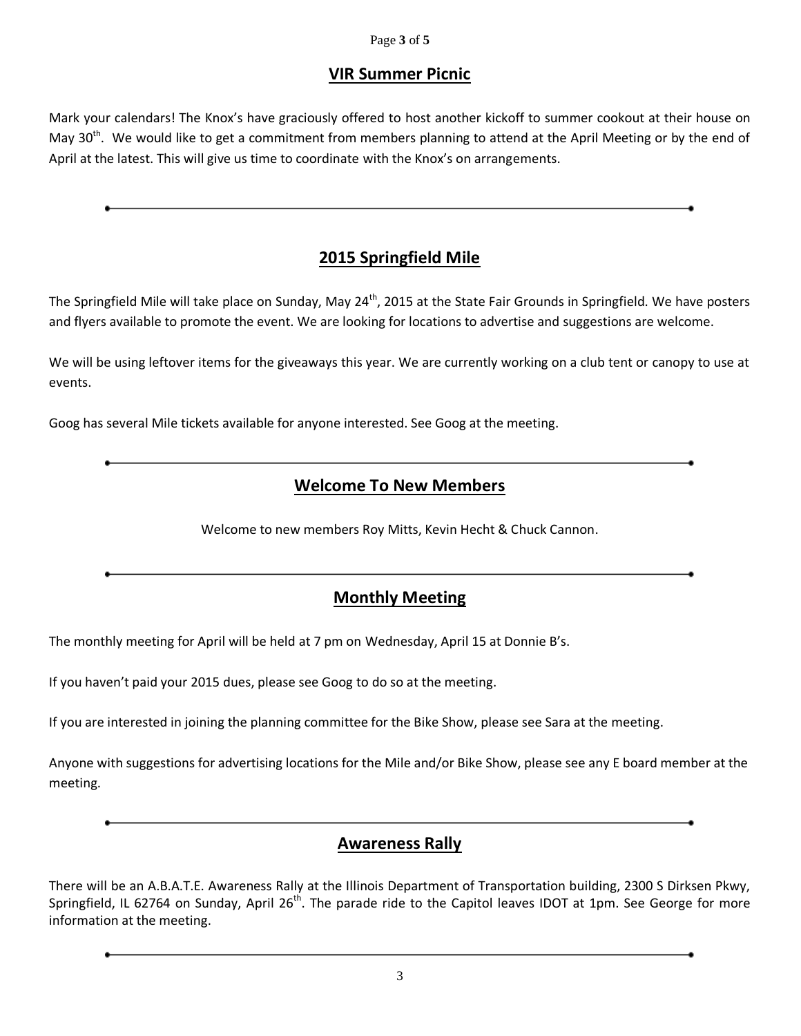#### Page **3** of **5**

### **VIR Summer Picnic**

Mark your calendars! The Knox's have graciously offered to host another kickoff to summer cookout at their house on May 30<sup>th</sup>. We would like to get a commitment from members planning to attend at the April Meeting or by the end of April at the latest. This will give us time to coordinate with the Knox's on arrangements.

# **2015 Springfield Mile**

The Springfield Mile will take place on Sunday, May  $24^{th}$ , 2015 at the State Fair Grounds in Springfield. We have posters and flyers available to promote the event. We are looking for locations to advertise and suggestions are welcome.

We will be using leftover items for the giveaways this year. We are currently working on a club tent or canopy to use at events.

Goog has several Mile tickets available for anyone interested. See Goog at the meeting.

# **Welcome To New Members**

Welcome to new members Roy Mitts, Kevin Hecht & Chuck Cannon.

### **Monthly Meeting**

The monthly meeting for April will be held at 7 pm on Wednesday, April 15 at Donnie B's.

If you haven't paid your 2015 dues, please see Goog to do so at the meeting.

If you are interested in joining the planning committee for the Bike Show, please see Sara at the meeting.

Anyone with suggestions for advertising locations for the Mile and/or Bike Show, please see any E board member at the meeting.

### **Awareness Rally**

There will be an A.B.A.T.E. Awareness Rally at the Illinois Department of Transportation building, 2300 S Dirksen Pkwy, Springfield, IL 62764 on Sunday, April 26<sup>th</sup>. The parade ride to the Capitol leaves IDOT at 1pm. See George for more information at the meeting.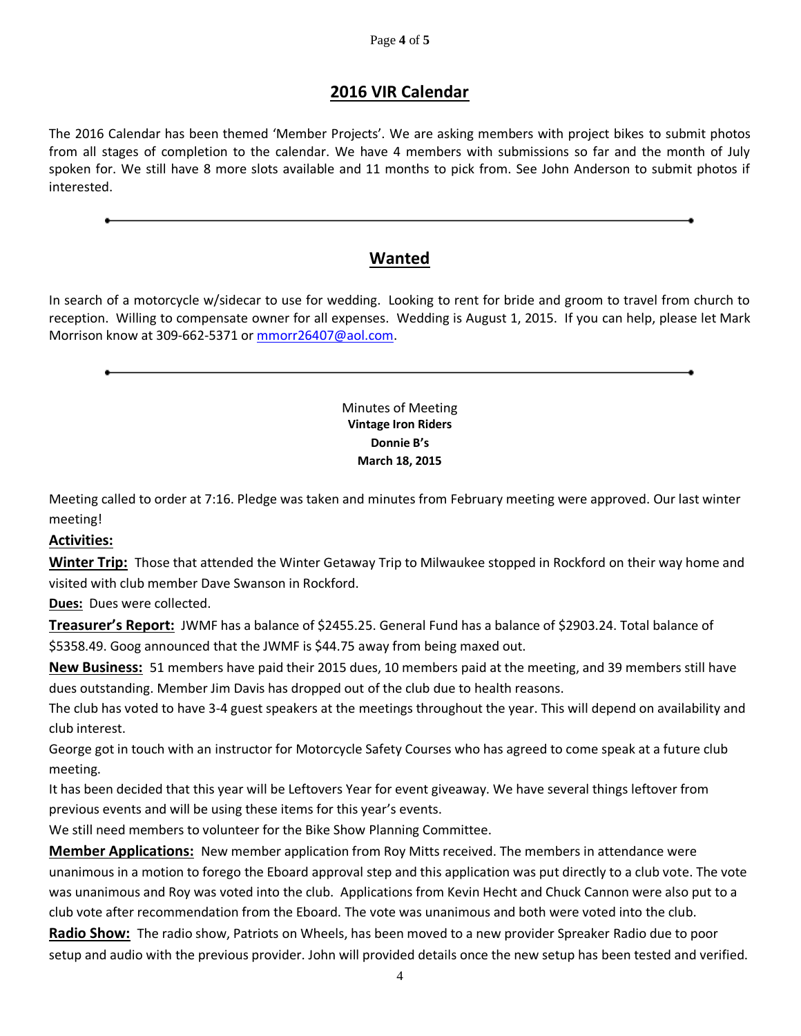# **2016 VIR Calendar**

The 2016 Calendar has been themed 'Member Projects'. We are asking members with project bikes to submit photos from all stages of completion to the calendar. We have 4 members with submissions so far and the month of July spoken for. We still have 8 more slots available and 11 months to pick from. See John Anderson to submit photos if interested.

# **Wanted**

In search of a motorcycle w/sidecar to use for wedding. Looking to rent for bride and groom to travel from church to reception. Willing to compensate owner for all expenses. Wedding is August 1, 2015. If you can help, please let Mark Morrison know at 309-662-5371 or [mmorr26407@aol.com.](mailto:mmorr26407@aol.com)

#### Minutes of Meeting **Vintage Iron Riders Donnie B's March 18, 2015**

Meeting called to order at 7:16. Pledge was taken and minutes from February meeting were approved. Our last winter meeting!

#### **Activities:**

**Winter Trip:** Those that attended the Winter Getaway Trip to Milwaukee stopped in Rockford on their way home and visited with club member Dave Swanson in Rockford.

**Dues:** Dues were collected.

**Treasurer's Report:** JWMF has a balance of \$2455.25. General Fund has a balance of \$2903.24. Total balance of \$5358.49. Goog announced that the JWMF is \$44.75 away from being maxed out.

**New Business:** 51 members have paid their 2015 dues, 10 members paid at the meeting, and 39 members still have dues outstanding. Member Jim Davis has dropped out of the club due to health reasons.

The club has voted to have 3-4 guest speakers at the meetings throughout the year. This will depend on availability and club interest.

George got in touch with an instructor for Motorcycle Safety Courses who has agreed to come speak at a future club meeting.

It has been decided that this year will be Leftovers Year for event giveaway. We have several things leftover from previous events and will be using these items for this year's events.

We still need members to volunteer for the Bike Show Planning Committee.

**Member Applications:** New member application from Roy Mitts received. The members in attendance were unanimous in a motion to forego the Eboard approval step and this application was put directly to a club vote. The vote was unanimous and Roy was voted into the club. Applications from Kevin Hecht and Chuck Cannon were also put to a club vote after recommendation from the Eboard. The vote was unanimous and both were voted into the club.

**Radio Show:** The radio show, Patriots on Wheels, has been moved to a new provider Spreaker Radio due to poor setup and audio with the previous provider. John will provided details once the new setup has been tested and verified.